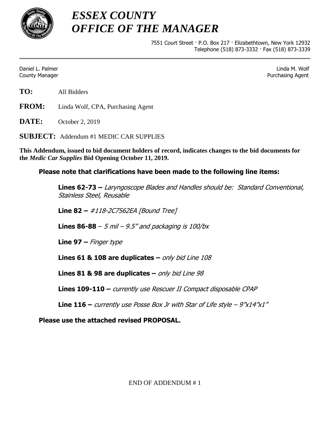

*ESSEX COUNTY OFFICE OF THE MANAGER*

> 7551 Court Street · P.O. Box 217 · Elizabethtown, New York 12932 Telephone (518) 873-3332 · Fax (518) 873-3339

Daniel L. Palmer Linda M. Wolf County Manager Purchasing Agent

**FROM:** Linda Wolf, CPA, Purchasing Agent

**DATE:** October 2, 2019

**SUBJECT:** Addendum #1 MEDIC CAR SUPPLIES

**This Addendum, issued to bid document holders of record, indicates changes to the bid documents for the** *Medic Car Supplies* **Bid Opening October 11, 2019.**

## **Please note that clarifications have been made to the following line items:**

**Lines 62-73 –** Laryngoscope Blades and Handles should be: Standard Conventional, Stainless Steel, Reusable

**Line 82 –** #118-2C7562EA [Bound Tree]

**Lines 86-88** – 5 mil – 9.5" and packaging is 100/bx

**Line 97 –** Finger type

**Lines 61 & 108 are duplicates –** only bid Line 108

**Lines 81 & 98 are duplicates –** only bid Line 98

**Lines 109-110 –** currently use Rescuer II Compact disposable CPAP

**Line 116 –** currently use Posse Box Jr with Star of Life style – 9"x14"x1"

**Please use the attached revised PROPOSAL.**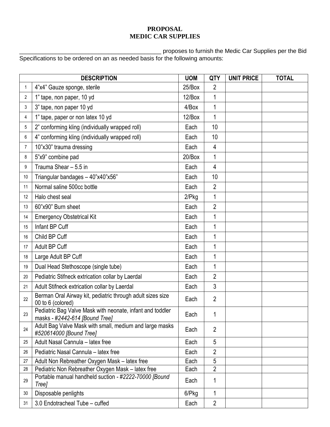## **PROPOSAL MEDIC CAR SUPPLIES**

\_\_\_\_\_\_\_\_\_\_\_\_\_\_\_\_\_\_\_\_\_\_\_\_\_\_\_\_\_\_\_\_\_\_\_\_\_\_\_\_\_\_\_ proposes to furnish the Medic Car Supplies per the Bid Specifications to be ordered on an as needed basis for the following amounts:

|                | <b>DESCRIPTION</b>                                                                          | <b>UOM</b> | QTY            | <b>UNIT PRICE</b> | <b>TOTAL</b> |
|----------------|---------------------------------------------------------------------------------------------|------------|----------------|-------------------|--------------|
| 1              | 4"x4" Gauze sponge, sterile                                                                 | 25/Box     | 2              |                   |              |
| $\overline{2}$ | 1" tape, non paper, 10 yd                                                                   | 12/Box     | 1              |                   |              |
| 3              | 3" tape, non paper 10 yd                                                                    | 4/Box      | 1              |                   |              |
| 4              | 1" tape, paper or non latex 10 yd                                                           | 12/Box     | 1              |                   |              |
| 5              | 2" conforming kling (individually wrapped roll)                                             | Each       | 10             |                   |              |
| 6              | 4" conforming kling (individually wrapped roll)                                             | Each       | 10             |                   |              |
| $\overline{7}$ | 10"x30" trauma dressing                                                                     | Each       | $\overline{4}$ |                   |              |
| 8              | 5"x9" combine pad                                                                           | 20/Box     | 1              |                   |              |
| 9              | Trauma Shear - 5.5 in                                                                       | Each       | 4              |                   |              |
| 10             | Triangular bandages - 40"x40"x56"                                                           | Each       | 10             |                   |              |
| 11             | Normal saline 500cc bottle                                                                  | Each       | $\overline{2}$ |                   |              |
| 12             | Halo chest seal                                                                             | $2$ /Pkg   | 1              |                   |              |
| 13             | 60"x90" Burn sheet                                                                          | Each       | $\overline{2}$ |                   |              |
| 14             | <b>Emergency Obstetrical Kit</b>                                                            | Each       | 1              |                   |              |
| 15             | Infant BP Cuff                                                                              | Each       | 1              |                   |              |
| 16             | Child BP Cuff                                                                               | Each       | $\mathbf{1}$   |                   |              |
| 17             | Adult BP Cuff                                                                               | Each       | 1              |                   |              |
| 18             | Large Adult BP Cuff                                                                         | Each       | $\mathbf{1}$   |                   |              |
| 19             | Dual Head Stethoscope (single tube)                                                         | Each       | 1              |                   |              |
| 20             | Pediatric Stifneck extrication collar by Laerdal                                            | Each       | $\overline{2}$ |                   |              |
| 21             | Adult Stifneck extrication collar by Laerdal                                                | Each       | 3              |                   |              |
| 22             | Berman Oral Airway kit, pediatric through adult sizes size<br>00 to 6 (colored)             | Each       | $\overline{2}$ |                   |              |
| 23             | Pediatric Bag Valve Mask with neonate, infant and toddler<br>masks - #2442-614 [Bound Tree] | Each       | 1              |                   |              |
| 24             | Adult Bag Valve Mask with small, medium and large masks<br>#520614000 [Bound Tree]          | Each       | $\overline{2}$ |                   |              |
| 25             | Adult Nasal Cannula - latex free                                                            | Each       | 5              |                   |              |
| 26             | Pediatric Nasal Cannula - latex free                                                        | Each       | $\overline{2}$ |                   |              |
| 27             | Adult Non Rebreather Oxygen Mask - latex free                                               | Each       | 5              |                   |              |
| 28             | Pediatric Non Rebreather Oxygen Mask - latex free                                           | Each       | $\overline{2}$ |                   |              |
| 29             | Portable manual handheld suction - #2222-70000 [Bound<br>Tree]                              | Each       | 1              |                   |              |
| 30             | Disposable penlights                                                                        | 6/Pkg      | 1              |                   |              |
| 31             | 3.0 Endotracheal Tube - cuffed                                                              | Each       | $\overline{2}$ |                   |              |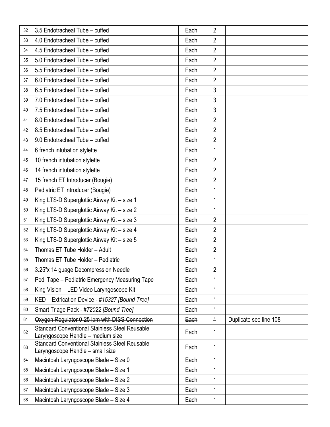| 32 | 3.5 Endotracheal Tube - cuffed                                                             | Each | 2              |                        |  |
|----|--------------------------------------------------------------------------------------------|------|----------------|------------------------|--|
| 33 | 4.0 Endotracheal Tube - cuffed                                                             | Each | $\overline{2}$ |                        |  |
| 34 | 4.5 Endotracheal Tube - cuffed                                                             | Each | $\overline{2}$ |                        |  |
| 35 | 5.0 Endotracheal Tube - cuffed                                                             | Each | $\overline{2}$ |                        |  |
| 36 | 5.5 Endotracheal Tube - cuffed                                                             | Each | $\overline{2}$ |                        |  |
| 37 | 6.0 Endotracheal Tube - cuffed                                                             | Each | $\overline{2}$ |                        |  |
| 38 | 6.5 Endotracheal Tube - cuffed                                                             | Each | 3              |                        |  |
| 39 | 7.0 Endotracheal Tube - cuffed                                                             | Each | 3              |                        |  |
| 40 | 7.5 Endotracheal Tube - cuffed                                                             | Each | $\mathfrak{Z}$ |                        |  |
| 41 | 8.0 Endotracheal Tube - cuffed                                                             | Each | $\overline{2}$ |                        |  |
| 42 | 8.5 Endotracheal Tube - cuffed                                                             | Each | $\overline{2}$ |                        |  |
| 43 | 9.0 Endotracheal Tube - cuffed                                                             | Each | $\overline{2}$ |                        |  |
| 44 | 6 french intubation stylette                                                               | Each | 1              |                        |  |
| 45 | 10 french intubation stylette                                                              | Each | $\overline{2}$ |                        |  |
| 46 | 14 french intubation stylette                                                              | Each | $\overline{2}$ |                        |  |
| 47 | 15 french ET Introducer (Bougie)                                                           | Each | $\overline{2}$ |                        |  |
| 48 | Pediatric ET Introducer (Bougie)                                                           | Each | $\mathbf{1}$   |                        |  |
| 49 | King LTS-D Superglottic Airway Kit - size 1                                                | Each | $\mathbf 1$    |                        |  |
| 50 | King LTS-D Superglottic Airway Kit - size 2                                                | Each | $\mathbf{1}$   |                        |  |
| 51 | King LTS-D Superglottic Airway Kit - size 3                                                | Each | $\overline{2}$ |                        |  |
| 52 | King LTS-D Superglottic Airway Kit - size 4                                                | Each | $\overline{2}$ |                        |  |
| 53 | King LTS-D Superglottic Airway Kit - size 5                                                | Each | $\overline{2}$ |                        |  |
| 54 | Thomas ET Tube Holder - Adult                                                              | Each | $\overline{2}$ |                        |  |
| 55 | Thomas ET Tube Holder - Pediatric                                                          | Each | 1              |                        |  |
| 56 | 3.25"x 14 guage Decompression Needle                                                       | Each | 2              |                        |  |
| 57 | Pedi Tape - Pediatric Emergency Measuring Tape                                             | Each | 1              |                        |  |
| 58 | King Vision - LED Video Laryngoscope Kit                                                   | Each | $\mathbf{1}$   |                        |  |
| 59 | KED - Extrication Device - #15327 [Bound Tree]                                             | Each | 1              |                        |  |
| 60 | Smart Triage Pack - #72022 [Bound Tree]                                                    | Each | 1              |                        |  |
| 61 | Oxygen Regulator 0-25 Ipm with DISS Connection                                             | Each | $\overline{1}$ | Duplicate see line 108 |  |
| 62 | <b>Standard Conventional Stainless Steel Reusable</b><br>Laryngoscope Handle - medium size | Each | 1              |                        |  |
| 63 | <b>Standard Conventional Stainless Steel Reusable</b><br>Laryngoscope Handle - small size  | Each | 1              |                        |  |
| 64 | Macintosh Laryngoscope Blade - Size 0                                                      | Each | 1              |                        |  |
| 65 | Macintosh Laryngoscope Blade - Size 1                                                      | Each | 1              |                        |  |
| 66 | Macintosh Laryngoscope Blade - Size 2                                                      | Each | 1              |                        |  |
| 67 | Macintosh Laryngoscope Blade - Size 3                                                      | Each | 1              |                        |  |
| 68 | Macintosh Laryngoscope Blade - Size 4                                                      | Each | 1              |                        |  |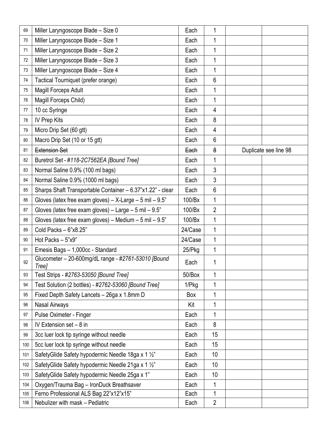| 69     | Miller Laryngoscope Blade - Size 0                               | Each      | 1               |                       |
|--------|------------------------------------------------------------------|-----------|-----------------|-----------------------|
| $70\,$ | Miller Laryngoscope Blade - Size 1                               | Each      | $\mathbf{1}$    |                       |
| 71     | Miller Laryngoscope Blade - Size 2                               | Each      | 1               |                       |
| 72     | Miller Laryngoscope Blade - Size 3                               | Each      | 1               |                       |
| 73     | Miller Laryngoscope Blade - Size 4                               | Each      | 1               |                       |
| 74     | Tactical Tourniquet (prefer orange)                              | Each      | $6\phantom{1}6$ |                       |
| 75     | Magill Forceps Adult                                             | Each      | 1               |                       |
| 76     | Magill Forceps Child)                                            | Each      | 1               |                       |
| 77     | 10 cc Syringe                                                    | Each      | $\overline{4}$  |                       |
| 78     | <b>IV Prep Kits</b>                                              | Each      | 8               |                       |
| 79     | Micro Drip Set (60 gtt)                                          | Each      | $\overline{4}$  |                       |
| 80     | Macro Drip Set (10 or 15 gtt)                                    | Each      | 6               |                       |
| 81     | <b>Extension Set</b>                                             | Each      | 8               | Duplicate see line 98 |
| 82     | Buretrol Set - #118-2C7562EA [Bound Tree]                        | Each      | 1               |                       |
| 83     | Normal Saline 0.9% (100 ml bags)                                 | Each      | $\mathfrak{Z}$  |                       |
| 84     | Normal Saline 0.9% (1000 ml bags)                                | Each      | 3               |                       |
| 85     | Sharps Shaft Transportable Container - 6.37"x1.22" - clear       | Each      | $6\phantom{1}$  |                       |
| 86     | Gloves (latex free exam gloves) $- X$ -Large $- 5$ mil $- 9.5$ " | 100/Bx    | 1               |                       |
| 87     | Gloves (latex free exam gloves) – Large – 5 mil – $9.5$ "        | 100/Bx    | $\overline{2}$  |                       |
| 88     | Gloves (latex free exam gloves) - Medium - 5 mil - $9.5$ "       | 100/Bx    | 1               |                       |
| 89     | Cold Packs $-6"x8.25"$                                           | 24/Case   | 1               |                       |
| 90     | Hot Packs - 5"x9"                                                | 24/Case   | 1               |                       |
| 91     | Emesis Bags - 1,000cc - Standard                                 | $25$ /Pkg | 1               |                       |
| 92     | Glucometer - 20-600mg/dL range - #2761-53010 [Bound]<br>Tree]    | Each      | 1               |                       |
| 93     | Test Strips - #2763-53050 [Bound Tree]                           | 50/Box    | 1               |                       |
| 94     | Test Solution (2 bottles) - #2762-53060 [Bound Tree]             | $1/P$ kg  | 1               |                       |
| 95     | Fixed Depth Safety Lancets - 26ga x 1.8mm D                      | Box       | 1               |                       |
| 96     | Nasal Airways                                                    | Kit       | 1               |                       |
| 97     | Pulse Oximeter - Finger                                          | Each      | 1               |                       |
| 98     | IV Extension set $-8$ in                                         | Each      | 8               |                       |
| 99     | 3cc luer lock tip syringe without needle                         | Each      | 15              |                       |
| 100    | 5cc luer lock tip syringe without needle                         | Each      | 15              |                       |
| 101    | SafetyGlide Safety hypodermic Needle 18ga x 1 1/2"               | Each      | 10              |                       |
| 102    | SafetyGlide Safety hypodermic Needle 21ga x 1 1/2"               | Each      | 10              |                       |
| 103    | SafetyGlide Safety hypodermic Needle 25ga x 1"                   | Each      | 10              |                       |
| 104    | Oxygen/Trauma Bag - IronDuck Breathsaver                         | Each      | 1               |                       |
| 105    | Ferno Professional ALS Bag 22"x12"x15"                           | Each      | $\mathbf{1}$    |                       |
| 106    | Nebulizer with mask - Pediatric                                  | Each      | $\overline{2}$  |                       |